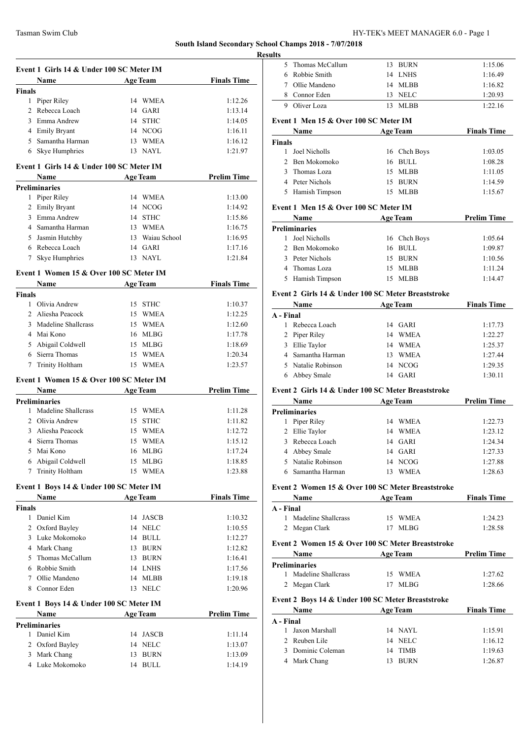# Tasman Swim Club HY-TEK's MEET MANAGER 6.0 - Page 1

# **South Island Secondary School Champs 2018 - 7/07/2018**

**Resu** 

|               | Event 1 Girls 14 & Under 100 SC Meter IM         |                   |                    |
|---------------|--------------------------------------------------|-------------------|--------------------|
|               | Name                                             | <b>Age Team</b>   | <b>Finals Time</b> |
| <b>Finals</b> |                                                  |                   |                    |
|               | 1 Piper Riley                                    | 14 WMEA           | 1:12.26            |
|               | 2 Rebecca Loach                                  | 14 GARI           | 1:13.14            |
|               | 3 Emma Andrew                                    | 14 STHC           | 1:14.05            |
|               | 4 Emily Bryant                                   | 14 NCOG           | 1:16.11            |
|               | 5 Samantha Harman                                | 13 WMEA           | 1:16.12            |
| 6             | Skye Humphries                                   | 13 NAYL           | 1:21.97            |
|               | Event 1 Girls 14 & Under 100 SC Meter IM<br>Name | <b>Age Team</b>   | <b>Prelim Time</b> |
|               | <b>Preliminaries</b>                             |                   |                    |
|               | 1 Piper Riley                                    | 14 WMEA           | 1:13.00            |
|               | 2 Emily Bryant                                   | 14 NCOG           | 1:14.92            |
|               | 3 Emma Andrew                                    | 14 STHC           | 1:15.86            |
|               | 4 Samantha Harman                                | 13 WMEA           | 1:16.75            |
|               | 5 Jasmin Hutchby                                 | 13 Waiau School   | 1:16.95            |
|               | 6 Rebecca Loach                                  | 14 GARI           | 1:17.16            |
| 7             | Skye Humphries                                   | 13 NAYL           | 1:21.84            |
|               | Event 1 Women 15 & Over 100 SC Meter IM          |                   |                    |
|               | <b>Name</b>                                      | <b>Age Team</b>   | <b>Finals Time</b> |
| <b>Finals</b> |                                                  |                   |                    |
|               | 1 Olivia Andrew                                  | 15 STHC           | 1:10.37            |
|               | 2 Aliesha Peacock                                | 15 WMEA           | 1:12.25            |
|               | 3 Madeline Shallcrass                            | 15 WMEA           | 1:12.60            |
|               | 4 Mai Kono                                       | 16 MLBG           | 1:17.78            |
|               | 5 Abigail Coldwell                               | 15 MLBG           | 1:18.69            |
|               | 6 Sierra Thomas                                  | 15 WMEA           | 1:20.34            |
|               | 7 Trinity Holtham                                | 15 WMEA           | 1:23.57            |
|               | Event 1 Women 15 & Over 100 SC Meter IM          |                   |                    |
|               | Name                                             | <b>Age Team</b>   | <b>Prelim Time</b> |
|               | <b>Preliminaries</b>                             |                   |                    |
| $\mathbf{1}$  | Madeline Shallcrass                              | 15 WMEA           | 1:11.28            |
|               | 2 Olivia Andrew                                  | 15 STHC           | 1:11.82            |
|               | 3 Aliesha Peacock                                | 15 WMEA           | 1:12.72            |
|               | 4 Sierra Thomas                                  | 15 WMEA           | 1:15.12            |
|               | 5 Mai Kono                                       | 16 MLBG           | 1:17.24            |
| 6             | Abigail Coldwell                                 | 15<br>MLBG        | 1:18.85            |
| 7             | Trinity Holtham                                  | <b>WMEA</b><br>15 | 1:23.88            |
|               | Event 1 Boys 14 & Under 100 SC Meter IM          |                   |                    |
|               | Name                                             | <b>Age Team</b>   | <b>Finals Time</b> |
| <b>Finals</b> | 1 Daniel Kim                                     | 14 JASCB          | 1:10.32            |
|               | 2 Oxford Bayley                                  | 14 NELC           | 1:10.55            |
|               | 3 Luke Mokomoko                                  | 14 BULL           | 1:12.27            |
|               | 4 Mark Chang                                     | <b>BURN</b><br>13 | 1:12.82            |
| 5             | Thomas McCallum                                  | 13 BURN           | 1:16.41            |
|               |                                                  |                   |                    |
|               | 6 Robbie Smith                                   | 14 LNHS           | 1:17.56            |
|               | 7 Ollie Mandeno                                  | 14 MLBB           | 1:19.18            |
| 8             | Connor Eden                                      | 13 NELC           | 1:20.96            |
|               | Event 1 Boys 14 & Under 100 SC Meter IM          |                   |                    |
|               | Name<br><b>Preliminaries</b>                     | <b>Age Team</b>   | <b>Prelim Time</b> |
|               | 1 Daniel Kim                                     | 14 JASCB          | 1:11.14            |
|               | 2 Oxford Bayley                                  | 14 NELC           | 1:13.07            |
|               | 3 Mark Chang                                     | $\rm BURN$<br>13  | 1:13.09            |
|               | 4 Luke Mokomoko                                  | 14 BULL           | 1:14.19            |
|               |                                                  |                   |                    |

| ılts         |                                         |                                                    |                    |
|--------------|-----------------------------------------|----------------------------------------------------|--------------------|
| 5            | Thomas McCallum                         | 13 BURN                                            | 1:15.06            |
|              | 6 Robbie Smith                          | 14<br>LNHS                                         | 1:16.49            |
|              | 7 Ollie Mandeno                         | 14<br>MLBB                                         | 1:16.82            |
|              | 8 Connor Eden                           | 13<br><b>NELC</b>                                  | 1:20.93            |
| 9            | Oliver Loza                             | <b>MLBB</b><br>13                                  | 1:22.16            |
|              | Event 1 Men 15 & Over 100 SC Meter IM   |                                                    |                    |
|              | Name                                    | <b>Age Team</b>                                    | <b>Finals Time</b> |
| Finals       |                                         |                                                    |                    |
|              | 1 Joel Nicholls                         | 16 Chch Boys                                       | 1:03.05            |
| 3            | 2 Ben Mokomoko<br>Thomas Loza           | BULL<br>16<br><b>MLBB</b><br>15                    | 1:08.28            |
|              | 4 Peter Nichols                         |                                                    | 1:11.05            |
|              |                                         | 15<br>BURN<br>15                                   | 1:14.59            |
|              | 5 Hamish Timpson                        | MLBB                                               | 1:15.67            |
|              | Event 1 Men 15 & Over 100 SC Meter IM   |                                                    |                    |
|              | Name                                    | <b>Age Team</b>                                    | <b>Prelim Time</b> |
|              | <b>Preliminaries</b><br>1 Joel Nicholls | 16 Chch Boys                                       |                    |
|              | 2 Ben Mokomoko                          | <b>BULL</b>                                        | 1:05.64            |
|              | 3 Peter Nichols                         | 16<br><b>BURN</b><br>15                            | 1:09.87<br>1:10.56 |
|              | 4 Thomas Loza                           | 15<br><b>MLBB</b>                                  | 1:11.24            |
| 5            | Hamish Timpson                          | MLBB<br>15                                         | 1:14.47            |
|              |                                         |                                                    |                    |
|              |                                         | Event 2 Girls 14 & Under 100 SC Meter Breaststroke |                    |
|              | Name                                    | Age Team                                           | <b>Finals Time</b> |
| A - Final    |                                         |                                                    |                    |
|              | 1 Rebecca Loach                         | 14 GARI                                            | 1:17.73            |
|              | 2 Piper Riley                           | 14 WMEA                                            | 1:22.27            |
|              | 3 Ellie Taylor<br>4 Samantha Harman     | 14 WMEA<br>WMEA<br>13                              | 1:25.37<br>1:27.44 |
|              | 5 Natalie Robinson                      | 14<br>NCOG                                         | 1:29.35            |
|              | 6 Abbey Smale                           | 14 GARI                                            | 1:30.11            |
|              |                                         |                                                    |                    |
|              |                                         | Event 2 Girls 14 & Under 100 SC Meter Breaststroke |                    |
|              | Name                                    | <b>Age Team</b>                                    | <b>Prelim Time</b> |
|              | <b>Preliminaries</b><br>1 Piper Riley   |                                                    |                    |
|              |                                         | 14 WMEA<br>14 WMEA                                 | 1:22.73            |
|              | 2 Ellie Taylor                          |                                                    | 1:23.12            |
| 3            | Rebecca Loach                           | 14 GARI                                            | 1:24.34            |
|              | 4 Abbey Smale<br>5 Natalie Robinson     | 14 GARI<br>14<br>NCOG                              | 1:27.33<br>1:27.88 |
| 6            | Samantha Harman                         | WMEA<br>13                                         | 1:28.63            |
|              |                                         |                                                    |                    |
|              |                                         | Event 2 Women 15 & Over 100 SC Meter Breaststroke  |                    |
|              | Name                                    | <b>Age Team</b>                                    | <b>Finals Time</b> |
| A - Final    | 1 Madeline Shallcrass                   | 15 WMEA                                            | 1:24.23            |
|              | 2 Megan Clark                           | 17 MLBG                                            | 1:28.58            |
|              |                                         |                                                    |                    |
|              |                                         | Event 2 Women 15 & Over 100 SC Meter Breaststroke  | <b>Prelim Time</b> |
|              | Name<br><b>Preliminaries</b>            | <b>Age Team</b>                                    |                    |
|              | 1 Madeline Shallcrass                   | 15 WMEA                                            | 1:27.62            |
| $\mathbf{2}$ | Megan Clark                             | 17 MLBG                                            | 1:28.66            |
|              |                                         |                                                    |                    |
|              |                                         | Event 2 Boys 14 & Under 100 SC Meter Breaststroke  |                    |
|              | Name                                    | <b>Age Team</b>                                    | <b>Finals Time</b> |
|              |                                         |                                                    |                    |
|              |                                         |                                                    |                    |
| A - Final    | 1 Jaxon Marshall                        | 14 NAYL                                            | 1:15.91            |
|              | 2 Reuben Lile                           | 14 NELC                                            | 1:16.12            |
|              | 3 Dominic Coleman<br>4 Mark Chang       | 14 TIMB<br>13 BURN                                 | 1:19.63<br>1:26.87 |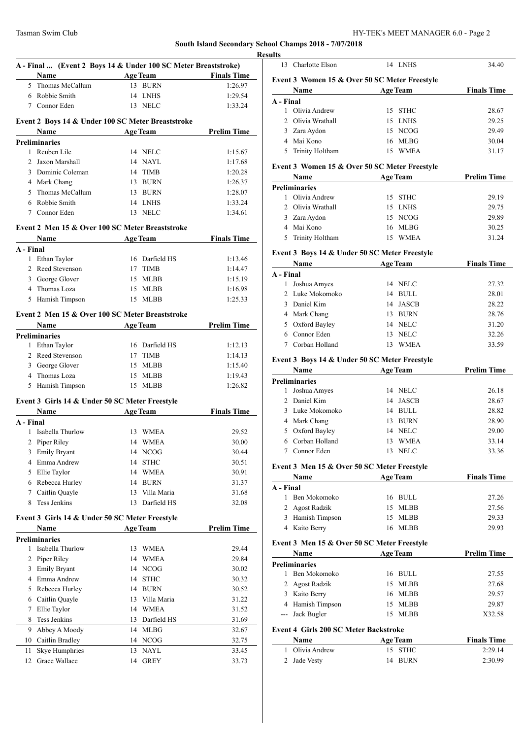|    | A - Final  (Event 2 Boys 14 & Under 100 SC Meter Breaststroke) |    |                 |                                       |
|----|----------------------------------------------------------------|----|-----------------|---------------------------------------|
|    | <b>Name</b> Age Team Finals Time<br>5 Thomas McCallum          |    |                 |                                       |
|    |                                                                |    | 13 BURN         | 1:26.97                               |
|    | 6 Robbie Smith                                                 |    | 14 LNHS         | 1:29.54                               |
|    | 7 Connor Eden                                                  |    | 13 NELC         | 1:33.24                               |
|    | Event 2 Boys 14 & Under 100 SC Meter Breaststroke              |    |                 |                                       |
|    | Name                                                           |    |                 | <b>Example 2 Age Team</b> Prelim Time |
|    | <b>Preliminaries</b>                                           |    |                 |                                       |
|    | 1 Reuben Lile                                                  |    | 14 NELC         | 1:15.67                               |
|    | 2 Jaxon Marshall                                               |    | 14 NAYL         | 1:17.68                               |
|    | 3 Dominic Coleman                                              |    | 14 TIMB         | 1:20.28                               |
|    | 4 Mark Chang                                                   |    | 13 BURN         | 1:26.37                               |
|    | 5 Thomas McCallum                                              |    | 13 BURN         | 1:28.07                               |
|    | 6 Robbie Smith                                                 |    | 14 LNHS         | 1:33.24                               |
|    | 7 Connor Eden                                                  |    | 13 NELC         | 1:34.61                               |
|    | Event 2 Men 15 & Over 100 SC Meter Breaststroke                |    |                 |                                       |
|    | Name Age Team Finals Time                                      |    |                 |                                       |
|    | A - Final                                                      |    |                 |                                       |
|    | 1 Ethan Taylor                                                 |    | 16 Darfield HS  | 1:13.46                               |
|    | 2 Reed Stevenson                                               |    | 17 TIMB         | 1:14.47                               |
|    | 3 George Glover                                                |    | 15 MLBB         | 1:15.19                               |
|    | 4 Thomas Loza                                                  |    | 15 MLBB         | 1:16.98                               |
|    | 5 Hamish Timpson                                               |    | 15 MLBB         | 1:25.33                               |
|    | Event 2 Men 15 & Over 100 SC Meter Breaststroke                |    |                 |                                       |
|    | Name                                                           |    | Age Team        | <b>Prelim Time</b>                    |
|    | <b>Preliminaries</b>                                           |    |                 |                                       |
|    | 1 Ethan Taylor                                                 |    | 16 Darfield HS  | 1:12.13                               |
|    | 2 Reed Stevenson                                               |    | 17 TIMB         | 1:14.13                               |
|    | 3 George Glover                                                |    | 15 MLBB         | 1:15.40                               |
|    | 4 Thomas Loza                                                  |    | 15 MLBB         | 1:19.43                               |
|    | 5 Hamish Timpson                                               |    | 15 MLBB         | 1:26.82                               |
|    | Event 3 Girls 14 & Under 50 SC Meter Freestyle                 |    |                 |                                       |
|    | <b>Name</b>                                                    |    |                 | Age Team Finals Time                  |
|    | A - Final                                                      |    |                 |                                       |
|    | 1 Isabella Thurlow                                             |    | 13 WMEA         | 29.52                                 |
|    | 2 Piper Riley                                                  |    | 14 WMEA         | 30.00                                 |
| 3  | <b>Emily Bryant</b>                                            |    | 14 NCOG         | 30.44                                 |
|    | 4 Emma Andrew                                                  |    | 14 STHC         | 30.51                                 |
| 5  | Ellie Taylor                                                   |    | 14 WMEA         | 30.91                                 |
| 6  | Rebecca Hurley                                                 |    | 14 BURN         | 31.37                                 |
| 7  | Caitlin Quayle                                                 | 13 | Villa Maria     | 31.68                                 |
| 8  | <b>Tess Jenkins</b>                                            | 13 | Darfield HS     | 32.08                                 |
|    | Event 3 Girls 14 & Under 50 SC Meter Freestyle                 |    |                 |                                       |
|    | Name                                                           |    | <b>Age Team</b> | <b>Prelim Time</b>                    |
|    | Preliminaries                                                  |    |                 |                                       |
| 1  | Isabella Thurlow                                               |    | 13 WMEA         | 29.44                                 |
| 2  | Piper Riley                                                    |    | 14 WMEA         | 29.84                                 |
| 3  | <b>Emily Bryant</b>                                            |    | 14 NCOG         | 30.02                                 |
|    | 4 Emma Andrew                                                  |    | 14 STHC         | 30.32                                 |
|    | 5 Rebecca Hurley                                               |    | 14 BURN         | 30.52                                 |
|    | 6 Caitlin Quayle                                               |    | 13 Villa Maria  | 31.22                                 |
|    | Ellie Taylor                                                   |    | 14 WMEA         | 31.52                                 |
| 7  |                                                                |    | 13 Darfield HS  | 31.69                                 |
| 8  | Tess Jenkins                                                   |    |                 |                                       |
| 9  | Abbey A Moody                                                  |    | 14 MLBG         |                                       |
| 10 | Caitlin Bradley                                                |    | 14 NCOG         |                                       |
| 11 | Skye Humphries                                                 | 13 | NAYL            | 32.67<br>32.75<br>33.45               |

| ılts         |                                              |                                               |                    |
|--------------|----------------------------------------------|-----------------------------------------------|--------------------|
|              | 13 Charlotte Elson                           | 14 LNHS                                       | 34.40              |
|              |                                              | Event 3 Women 15 & Over 50 SC Meter Freestyle |                    |
|              | Name                                         | <b>Age Team</b>                               | <b>Finals Time</b> |
| A - Final    |                                              |                                               |                    |
|              | 1 Olivia Andrew                              | 15 STHC                                       | 28.67              |
|              | 2 Olivia Wrathall                            | 15 LNHS                                       | 29.25              |
|              | 3 Zara Aydon                                 | 15 NCOG                                       | 29.49              |
|              | 4 Mai Kono                                   | 16 MLBG                                       | 30.04              |
| 5            | Trinity Holtham                              | <b>WMEA</b><br>15                             | 31.17              |
|              |                                              | Event 3 Women 15 & Over 50 SC Meter Freestyle |                    |
|              | Name                                         | <b>Age Team</b>                               | <b>Prelim Time</b> |
|              | <b>Preliminaries</b>                         |                                               |                    |
| 1            | Olivia Andrew                                | 15<br><b>STHC</b>                             | 29.19              |
|              | 2 Olivia Wrathall                            | 15 LNHS                                       | 29.75              |
|              | 3 Zara Aydon                                 | 15 NCOG                                       | 29.89              |
|              | 4 Mai Kono                                   | 16 MLBG                                       | 30.25              |
| 5            | <b>Trinity Holtham</b>                       | 15<br><b>WMEA</b>                             | 31.24              |
|              |                                              | Event 3 Boys 14 & Under 50 SC Meter Freestyle |                    |
|              | Name                                         | <b>Age Team</b>                               | <b>Finals Time</b> |
| A - Final    |                                              |                                               |                    |
| $\mathbf{1}$ | Joshua Amyes                                 | 14 NELC                                       | 27.32              |
|              | 2 Luke Mokomoko                              | 14 BULL                                       | 28.01              |
|              | 3 Daniel Kim                                 | 14 JASCB                                      | 28.22              |
|              | 4 Mark Chang                                 | 13 BURN                                       | 28.76              |
|              | 5 Oxford Bayley                              | 14 NELC                                       | 31.20              |
|              | 6 Connor Eden                                | NELC<br>13                                    | 32.26              |
| 7            | Corban Holland                               | 13<br><b>WMEA</b>                             | 33.59              |
|              |                                              | Event 3 Boys 14 & Under 50 SC Meter Freestyle |                    |
|              | Name                                         | <b>Age Team</b>                               | <b>Prelim Time</b> |
|              | <b>Preliminaries</b>                         |                                               |                    |
| 1            | Joshua Amyes                                 | 14 NELC                                       | 26.18              |
|              | 2 Daniel Kim                                 | 14 JASCB                                      | 28.67              |
|              | 3 Luke Mokomoko                              | 14 BULL                                       | 28.82              |
|              | 4 Mark Chang                                 | 13<br>BURN                                    | 28.90              |
|              | 5 Oxford Bayley                              | 14 NELC                                       | 29.00              |
|              | 6 Corban Holland                             | 13 WMEA                                       | 33.14              |
|              | 7 Connor Eden                                | 13 NELC                                       | 33.36              |
|              |                                              |                                               |                    |
|              | Event 3 Men 15 & Over 50 SC Meter Freestyle  |                                               | <b>Finals Time</b> |
| A - Final    | Name                                         | <b>Age Team</b>                               |                    |
| 1            | Ben Mokomoko                                 | 16 BULL                                       | 27.26              |
|              |                                              |                                               |                    |
|              | 2 Agost Radzik                               | 15<br><b>MLBB</b>                             | 27.56              |
|              | 3 Hamish Timpson                             | MLBB<br>15                                    | 29.33              |
|              | 4 Kaito Berry                                | 16 MLBB                                       | 29.93              |
|              | Event 3 Men 15 & Over 50 SC Meter Freestyle  |                                               |                    |
|              | Name                                         | <b>Age Team</b>                               | <b>Prelim Time</b> |
|              | <b>Preliminaries</b>                         |                                               |                    |
|              | 1 Ben Mokomoko                               | <b>BULL</b><br>16                             | 27.55              |
|              | 2 Agost Radzik                               | 15 MLBB                                       | 27.68              |
|              | 3 Kaito Berry                                | 16 MLBB                                       | 29.57              |
|              | 4 Hamish Timpson                             | 15 MLBB                                       | 29.87              |
| ---          | Jack Bugler                                  | <b>MLBB</b><br>15                             | X32.58             |
|              | <b>Event 4 Girls 200 SC Meter Backstroke</b> |                                               |                    |
|              | Name                                         | Age Team                                      | <b>Finals Time</b> |
| 1            | Olivia Andrew                                | <b>STHC</b><br>15                             | 2:29.14            |
| 2            | Jade Vesty                                   | 14<br><b>BURN</b>                             | 2:30.99            |
|              |                                              |                                               |                    |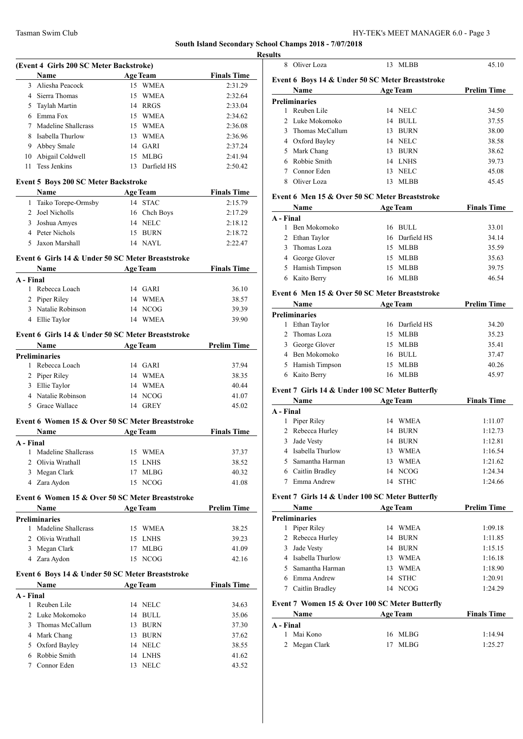|           |                                             |                                                   | Resu               |
|-----------|---------------------------------------------|---------------------------------------------------|--------------------|
|           | (Event 4 Girls 200 SC Meter Backstroke)     |                                                   |                    |
|           | Age Team<br>Name                            |                                                   | <b>Finals Time</b> |
|           | 3 Aliesha Peacock                           | 15 WMEA                                           | 2:31.29            |
|           | 4 Sierra Thomas                             | 15 WMEA                                           | 2:32.64            |
|           | 5 Taylah Martin                             | 14 RRGS                                           | 2:33.04            |
|           | 6 Emma Fox                                  | 15 WMEA                                           | 2:34.62            |
| 7         | Madeline Shallcrass                         | 15 WMEA                                           | 2:36.08            |
|           | 8 Isabella Thurlow                          | 13 WMEA                                           | 2:36.96            |
|           | 9 Abbey Smale                               | 14 GARI                                           | 2:37.24            |
|           | 10 Abigail Coldwell                         | 15 MLBG                                           | 2:41.94            |
|           | 11 Tess Jenkins                             | 13 Darfield HS                                    | 2:50.42            |
|           | <b>Event 5 Boys 200 SC Meter Backstroke</b> |                                                   |                    |
|           | Name                                        | <b>Example 2 Age Team Einals Time</b>             |                    |
|           | 1 Taiko Torepe-Ormsby                       | 14 STAC                                           | 2:15.79            |
|           | 2 Joel Nicholls                             | 16 Chch Boys                                      | 2:17.29            |
|           | 3 Joshua Amyes                              | 14 NELC                                           | 2:18.12            |
|           | 4 Peter Nichols                             | 15 BURN                                           | 2:18.72            |
|           | 5 Jaxon Marshall                            | 14 NAYL                                           | 2:22.47            |
|           |                                             | Event 6 Girls 14 & Under 50 SC Meter Breaststroke |                    |
|           |                                             | Name Age Team Finals Time                         |                    |
| A - Final |                                             |                                                   |                    |
|           | 1 Rebecca Loach                             | 14 GARI                                           | 36.10              |
|           | 2 Piper Riley                               | 14 WMEA                                           | 38.57              |
|           | 3 Natalie Robinson 14 NCOG                  |                                                   | 39.39              |
|           | 4 Ellie Taylor                              | 14 WMEA                                           | 39.90              |
|           |                                             | Event 6 Girls 14 & Under 50 SC Meter Breaststroke |                    |
|           |                                             | Name Age Team                                     | <b>Prelim Time</b> |
|           | Preliminaries                               |                                                   |                    |
|           | 1 Rebecca Loach                             | 14 GARI                                           | 37.94              |
|           | 2 Piper Riley                               | 14 WMEA                                           | 38.35              |
|           | 3 Ellie Taylor                              | 14 WMEA                                           | 40.44              |
|           | 4 Natalie Robinson                          | 14 NCOG                                           | 41.07              |
|           | 5 Grace Wallace                             | 14 GREY                                           | 45.02              |
|           |                                             | Event 6 Women 15 & Over 50 SC Meter Breaststroke  |                    |
|           |                                             | Name Age Team                                     | <b>Finals Time</b> |
| A - Final |                                             |                                                   |                    |
|           | 1 Madeline Shallcrass                       | 15 WMEA                                           | 37.37              |
|           | 2 Olivia Wrathall                           | 15 LNHS                                           | 38.52              |
|           | 3 Megan Clark                               | 17 MLBG                                           | 40.32              |
|           | 4 Zara Aydon                                | 15 NCOG                                           | 41.08              |
|           |                                             | Event 6 Women 15 & Over 50 SC Meter Breaststroke  |                    |
|           | Name                                        | <b>Age Team</b>                                   | <b>Prelim Time</b> |
|           | <b>Preliminaries</b>                        |                                                   |                    |
|           | 1 Madeline Shallcrass                       | 15 WMEA                                           | 38.25              |
|           | 2 Olivia Wrathall                           | 15 LNHS                                           | 39.23              |
|           | 3 Megan Clark                               | 17 MLBG                                           | 41.09              |
|           | 4 Zara Aydon                                | 15 NCOG                                           | 42.16              |
|           |                                             | Event 6 Boys 14 & Under 50 SC Meter Breaststroke  |                    |
|           | Name                                        | <b>Age Team</b>                                   | <b>Finals Time</b> |
| A - Final | 1 Reuben Lile                               | 14 NELC                                           | 34.63              |
|           | 2 Luke Mokomoko                             | 14 BULL                                           | 35.06              |
|           |                                             |                                                   |                    |
|           | 3 Thomas McCallum                           | 13 BURN                                           | 37.30              |
|           | 4 Mark Chang                                | 13 BURN                                           | 37.62              |
|           | 5 Oxford Bayley                             | 14 NELC                                           | 38.55              |
|           | 6 Robbie Smith                              | 14 LNHS                                           | 41.62              |
| 7         | Connor Eden                                 | 13 NELC                                           | 43.52              |
|           |                                             |                                                   |                    |

| lts |                                                  |    |                 |                    |
|-----|--------------------------------------------------|----|-----------------|--------------------|
| 8   | Oliver Loza                                      | 13 | <b>MLBB</b>     | 45.10              |
|     | Event 6 Boys 14 & Under 50 SC Meter Breaststroke |    |                 |                    |
|     | Name                                             |    | <b>Age Team</b> | <b>Prelim Time</b> |
|     | Preliminaries                                    |    |                 |                    |
|     | Reuben Lile                                      |    | 14 NELC         | 34.50              |
|     | 2 Luke Mokomoko                                  | 14 | <b>BULL</b>     | 37.55              |
| 3   | Thomas McCallum                                  | 13 | <b>BURN</b>     | 38.00              |
| 4   | Oxford Bayley                                    |    | 14 NELC         | 38.58              |
| 5   | Mark Chang                                       | 13 | <b>BURN</b>     | 38.62              |
|     | Robbie Smith                                     |    | 14 LNHS         | 39.73              |
|     | Connor Eden                                      | 13 | <b>NELC</b>     | 45.08              |
| 8   | Oliver Loza                                      | 13 | <b>MLBB</b>     | 45.45              |
|     |                                                  |    |                 |                    |

#### **Event 6 Men 15 & Over 50 SC Meter Breaststroke**

| Name<br><b>Age Team</b> |                | <b>Finals Time</b> |  |
|-------------------------|----------------|--------------------|--|
| A - Final               |                |                    |  |
| Ben Mokomoko            | 16 BULL        | 33.01              |  |
| 2 Ethan Taylor          | 16 Darfield HS | 34.14              |  |
| Thomas Loza<br>3        | MLBB<br>15     | 35.59              |  |
| 4 George Glover         | MLBB<br>15     | 35.63              |  |
| 5 Hamish Timpson        | MLBB<br>15     | 39.75              |  |
| Kaito Berry             | MLBB<br>16     | 46.54              |  |

#### **Event 6 Men 15 & Over 50 SC Meter Breaststroke**

| <b>Age Team</b><br>Name |     | <b>Prelim Time</b> |       |
|-------------------------|-----|--------------------|-------|
| <b>Preliminaries</b>    |     |                    |       |
| Ethan Taylor            |     | 16 Darfield HS     | 34.20 |
| 2 Thomas Loza           |     | 15 MLBB            | 35.23 |
| 3 George Glover         |     | 15 MLBB            | 35.41 |
| 4 Ben Mokomoko          |     | 16 BULL            | 37.47 |
| 5 Hamish Timpson        | 15. | MLBB               | 40.26 |
| Kaito Berry             | 16  | <b>MLBB</b>        | 45.97 |

#### **Event 7 Girls 14 & Under 100 SC Meter Butterfly**

|           | Name               |    | <b>Age Team</b> | <b>Finals Time</b> |
|-----------|--------------------|----|-----------------|--------------------|
| A - Final |                    |    |                 |                    |
|           | Piper Riley        | 14 | WMEA            | 1:11.07            |
|           | 2 Rebecca Hurley   | 14 | <b>BURN</b>     | 1:12.73            |
| 3         | Jade Vesty         | 14 | <b>BURN</b>     | 1:12.81            |
|           | 4 Isabella Thurlow | 13 | <b>WMEA</b>     | 1:16.54            |
| 5.        | Samantha Harman    | 13 | <b>WMEA</b>     | 1:21.62            |
|           | Caitlin Bradley    | 14 | NCOG            | 1:24.34            |
|           | Emma Andrew        | 14 | <b>STHC</b>     | 1:24.66            |

## **Event 7 Girls 14 & Under 100 SC Meter Butterfly**

|   | <b>Name</b><br><b>Age Team</b> |    |             | <b>Prelim Time</b> |
|---|--------------------------------|----|-------------|--------------------|
|   | <b>Preliminaries</b>           |    |             |                    |
| 1 | Piper Riley                    | 14 | WMEA        | 1:09.18            |
|   | 2 Rebecca Hurley               | 14 | <b>BURN</b> | 1:11.85            |
| 3 | Jade Vesty                     | 14 | BURN        | 1:15.15            |
|   | 4 Isabella Thurlow             | 13 | <b>WMEA</b> | 1:16.18            |
|   | 5 Samantha Harman              | 13 | <b>WMEA</b> | 1:18.90            |
|   | Emma Andrew                    | 14 | <b>STHC</b> | 1:20.91            |
|   | Caitlin Bradley                | 14 | NCOG        | 1:24.29            |

# **Event 7 Women 15 & Over 100 SC Meter Butterfly**

| <b>Name</b>   | <b>Age Team</b> | <b>Finals Time</b> |  |
|---------------|-----------------|--------------------|--|
| A - Final     |                 |                    |  |
| 1 Mai Kono    | 16 MLBG         | 1:14.94            |  |
| 2 Megan Clark | 17 MLBG         | 1:25.27            |  |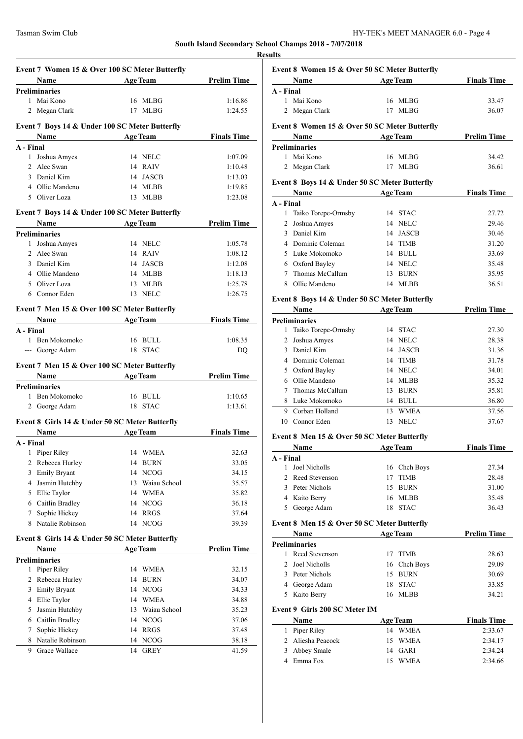**Event 7 Women 15 & Over 100 SC Meter Butterfly Name Age Team Prelim Time Preliminaries** 1 Mai Kono 16 MLBG 1:16.86 2 Megan Clark 17 MLBG 1:24.55 **Event 7 Boys 14 & Under 100 SC Meter Butterfly Name Age Team Finals Time A - Final** 1 Joshua Amyes 14 NELC 1:07.09 2 Alec Swan 14 RAIV 1:10.48 3 Daniel Kim 14 JASCB 1:13.03 4 Ollie Mandeno 14 MLBB 1:19.85 5 Oliver Loza 13 MLBB 1:23.08 **Event 7 Boys 14 & Under 100 SC Meter Butterfly Name Age Team Prelim Time Preliminaries** 1 Joshua Amyes 14 NELC 1:05.78 2 Alec Swan 14 RAIV 1:08.12 3 Daniel Kim 14 JASCB 1:12.08 4 Ollie Mandeno 14 MLBB 1:18.13 5 Oliver Loza 13 MLBB 1:25.78 6 Connor Eden 13 NELC 1:26.75 **Event 7 Men 15 & Over 100 SC Meter Butterfly Name Age Team Finals Time A - Final** 1 Ben Mokomoko 16 BULL 1:08.35 --- George Adam 18 STAC DO **Event 7 Men 15 & Over 100 SC Meter Butterfly Name Age Team Prelim Time Preliminaries** 1 Ben Mokomoko 16 BULL 1:10.65 2 George Adam 18 STAC 1:13.61 **Event 8 Girls 14 & Under 50 SC Meter Butterfly Name Age Team Finals Time A - Final** 1 Piper Riley 14 WMEA 32.63 2 Rebecca Hurley 14 BURN 33.05 3 Emily Bryant 14 NCOG 34.15 4 Jasmin Hutchby 13 Waiau School 35.57 5 Ellie Taylor 14 WMEA 35.82 6 Caitlin Bradley 14 NCOG 36.18 7 Sophie Hickey 14 RRGS 37.64 8 Natalie Robinson 14 NCOG 39.39 **Event 8 Girls 14 & Under 50 SC Meter Butterfly Name Age Team Prelim Time Preliminaries** 1 Piper Riley 14 WMEA 32.15 2 Rebecca Hurley 14 BURN 34.07 3 Emily Bryant 14 NCOG 34.33 4 Ellie Taylor 14 WMEA 34.88 5 Jasmin Hutchby 13 Waiau School 35.23 6 Caitlin Bradley 14 NCOG 37.06 7 Sophie Hickey 14 RRGS 37.48 8 Natalie Robinson 14 NCOG 38.18 9 Grace Wallace 14 GREY 41.59

|              | Event 8 Women 15 & Over 50 SC Meter Butterfly<br>Name |         | <b>Example 2018 Age Team</b> | <b>Finals Time</b> |
|--------------|-------------------------------------------------------|---------|------------------------------|--------------------|
| A - Final    |                                                       |         |                              |                    |
|              | 1 Mai Kono                                            |         | 16 MLBG                      | 33.47              |
|              | 2 Megan Clark                                         |         | 17 MLBG                      | 36.07              |
|              | Event 8 Women 15 & Over 50 SC Meter Butterfly         |         |                              |                    |
|              | Name                                                  |         | <b>Age Team</b>              | <b>Prelim Time</b> |
|              | <b>Preliminaries</b>                                  |         |                              |                    |
|              | 1 Mai Kono                                            |         | 16 MLBG                      | 34.42              |
|              | 2 Megan Clark                                         |         | 17 MLBG                      | 36.61              |
|              | Event 8 Boys 14 & Under 50 SC Meter Butterfly         |         |                              |                    |
|              | Name                                                  |         | <b>Age Team</b>              | <b>Finals Time</b> |
| A - Final    |                                                       |         |                              |                    |
| 1            | Taiko Torepe-Ormsby                                   |         | 14 STAC                      | 27.72              |
|              | 2 Joshua Amyes                                        |         | 14 NELC                      | 29.46              |
|              | 3 Daniel Kim                                          |         | 14 JASCB                     | 30.46              |
|              | 4 Dominic Coleman                                     |         | 14 TIMB                      | 31.20              |
|              | 5 Luke Mokomoko                                       |         | 14 BULL                      | 33.69              |
|              | 6 Oxford Bayley                                       |         | 14 NELC                      | 35.48              |
| 7            | Thomas McCallum                                       |         | 13 BURN                      | 35.95              |
| 8            | Ollie Mandeno                                         |         | 14 MLBB                      | 36.51              |
|              | Event 8 Boys 14 & Under 50 SC Meter Butterfly         |         |                              |                    |
|              | Name                                                  |         | <b>Age Team</b>              | <b>Prelim Time</b> |
|              | <b>Preliminaries</b>                                  |         |                              |                    |
| 1            | Taiko Torepe-Ormsby                                   | 14 STAC |                              | 27.30              |
| $\mathbf{2}$ | Joshua Amyes                                          |         | 14 NELC                      | 28.38              |
|              | 3 Daniel Kim                                          |         | 14 JASCB                     | 31.36              |
|              | 4 Dominic Coleman                                     |         | 14 TIMB                      | 31.78              |
|              | 5 Oxford Bayley                                       |         | 14 NELC                      | 34.01              |
|              | 6 Ollie Mandeno                                       |         | 14 MLBB                      | 35.32              |
| 7            | Thomas McCallum                                       |         | 13 BURN                      | 35.81              |
|              | 8 Luke Mokomoko                                       |         | 14 BULL                      | 36.80              |
|              | 9 Corban Holland                                      |         | 13 WMEA                      | 37.56              |
|              | 10 Connor Eden                                        | 13      | <b>NELC</b>                  | 37.67              |

#### **Event 8 Men 15 & Over 50 SC Meter Butterfly**

|               | Name             |    | <b>Age Team</b> | <b>Finals Time</b> |
|---------------|------------------|----|-----------------|--------------------|
| A - Final     |                  |    |                 |                    |
|               | Joel Nicholls    |    | 16 Chch Boys    | 27.34              |
|               | 2 Reed Stevenson | 17 | <b>TIMB</b>     | 28.48              |
| $\mathcal{R}$ | Peter Nichols    |    | 15 BURN         | 31.00              |
|               | 4 Kaito Berry    |    | 16 MLBB         | 35.48              |
| 5.            | George Adam      | 18 | <b>STAC</b>     | 36.43              |
|               |                  |    |                 |                    |

#### **Event 8 Men 15 & Over 50 SC Meter Butterfly**

| Name |                 | <b>Age Team</b> |              | <b>Prelim Time</b> |  |
|------|-----------------|-----------------|--------------|--------------------|--|
|      | Preliminaries   |                 |              |                    |  |
|      | Reed Stevenson  | 17              | TIMB         | 28.63              |  |
|      | 2 Joel Nicholls |                 | 16 Chch Boys | 29.09              |  |
|      | Peter Nichols   |                 | 15 BURN      | 30.69              |  |
|      | 4 George Adam   |                 | 18 STAC      | 33.85              |  |
|      | Kaito Berry     |                 | 16 MLBB      | 34.21              |  |

#### **Event 9 Girls 200 SC Meter IM**

| <b>Name</b>       | <b>Age Team</b>    | <b>Finals Time</b> |
|-------------------|--------------------|--------------------|
| 1 Piper Riley     | 14 WMEA            | 2:33.67            |
| 2 Aliesha Peacock | 15 WMEA            | 2:34.17            |
| 3 Abbey Smale     | 14 GARI            | 2.34.24            |
| Emma Fox          | <b>WMEA</b><br>15. | 2:34.66            |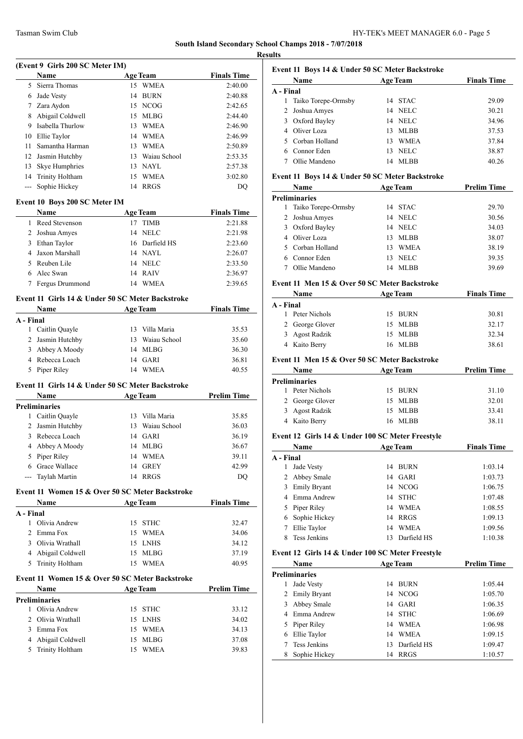**Results**

|           | (Event 9 Girls 200 SC Meter IM)<br>Name          |    | <b>Age Team</b> | <b>Finals Time</b> |
|-----------|--------------------------------------------------|----|-----------------|--------------------|
|           | 5 Sierra Thomas                                  |    | 15 WMEA         | 2:40.00            |
|           | 6 Jade Vesty                                     | 14 | BURN            | 2:40.88            |
|           | 7 Zara Aydon                                     |    | 15 NCOG         | 2:42.65            |
|           | 8 Abigail Coldwell                               | 15 | MLBG            | 2:44.40            |
|           | 9 Isabella Thurlow                               | 13 | WMEA            | 2:46.90            |
|           | 10 Ellie Taylor                                  |    | 14 WMEA         | 2:46.99            |
| 11        | Samantha Harman                                  | 13 | <b>WMEA</b>     | 2:50.89            |
|           | 12 Jasmin Hutchby                                |    | 13 Waiau School | 2:53.35            |
|           |                                                  |    | 13 NAYL         |                    |
|           | 13 Skye Humphries<br>14 Trinity Holtham          |    | 15 WMEA         | 2:57.38            |
|           | --- Sophie Hickey                                |    | 14 RRGS         | 3:02.80<br>DQ      |
|           | Event 10 Boys 200 SC Meter IM                    |    |                 |                    |
|           | <b>Name</b>                                      |    | <b>Age Team</b> | <b>Finals Time</b> |
|           | 1 Reed Stevenson                                 |    | 17 TIMB         | 2:21.88            |
|           | 2 Joshua Amyes                                   | 14 | <b>NELC</b>     | 2:21.98            |
|           | 3 Ethan Taylor                                   |    | 16 Darfield HS  | 2:23.60            |
|           | 4 Jaxon Marshall                                 |    | 14 NAYL         | 2:26.07            |
|           | 5 Reuben Lile                                    |    | 14 NELC         | 2:33.50            |
|           | 6 Alec Swan                                      |    | 14 RAIV         | 2:36.97            |
|           | 7 Fergus Drummond                                |    | 14 WMEA         | 2:39.65            |
|           | Event 11 Girls 14 & Under 50 SC Meter Backstroke |    |                 |                    |
|           | Name                                             |    | <b>Age Team</b> | <b>Finals Time</b> |
|           | A - Final                                        |    |                 |                    |
|           | 1 Caitlin Quayle                                 |    | 13 Villa Maria  | 35.53              |
|           | 2 Jasmin Hutchby                                 |    | 13 Waiau School | 35.60              |
|           | 3 Abbey A Moody                                  |    | 14 MLBG         | 36.30              |
|           | 4 Rebecca Loach                                  |    | 14 GARI         | 36.81              |
|           | 5 Piper Riley                                    |    | 14 WMEA         | 40.55              |
|           | Event 11 Girls 14 & Under 50 SC Meter Backstroke |    |                 |                    |
|           | <b>Name</b>                                      |    | Age Team        | <b>Prelim Time</b> |
|           |                                                  |    |                 |                    |
|           | <b>Preliminaries</b>                             |    |                 |                    |
|           | 1 Caitlin Quayle                                 |    | 13 Villa Maria  | 35.85              |
|           | 2 Jasmin Hutchby                                 |    | 13 Waiau School | 36.03              |
|           | 3 Rebecca Loach                                  |    | 14 GARI         | 36.19              |
| 4         | Abbey A Moody                                    | 14 | MLBG            | 36.67              |
|           | 5 Piper Riley                                    |    | 14 WMEA         | 39.11              |
|           | 6 Grace Wallace                                  |    | 14 GREY         | 42.99              |
|           | --- Taylah Martin                                | 14 | RRGS            | DQ                 |
|           | Event 11 Women 15 & Over 50 SC Meter Backstroke  |    |                 |                    |
|           | Name                                             |    | <b>Age Team</b> |                    |
|           |                                                  |    |                 |                    |
|           | 1 Olivia Andrew                                  |    | 15 STHC         | 32.47              |
|           | 2 Emma Fox                                       | 15 | WMEA            | 34.06              |
|           | 3 Olivia Wrathall                                |    | 15 LNHS         | 34.12              |
|           | 4 Abigail Coldwell                               |    | 15 MLBG         | 37.19              |
|           | 5 Trinity Holtham                                |    | 15 WMEA         | 40.95              |
|           | Event 11 Women 15 & Over 50 SC Meter Backstroke  |    |                 | <b>Finals Time</b> |
|           | Name                                             |    | <b>Age Team</b> | <b>Prelim Time</b> |
|           | <b>Preliminaries</b>                             |    |                 |                    |
|           | 1 Olivia Andrew                                  | 15 | <b>STHC</b>     | 33.12              |
|           | 2 Olivia Wrathall                                |    | 15 LNHS         | 34.02              |
| A - Final | 3 Emma Fox                                       |    | 15 WMEA         | 34.13              |
|           | 4 Abigail Coldwell                               |    | 15 MLBG         | 37.08              |

# **Event 11 Boys 14 & Under 50 SC Meter Backstroke**

|           | <b>Name</b>         |    | <b>Age Team</b> | <b>Finals Time</b> |  |
|-----------|---------------------|----|-----------------|--------------------|--|
| A - Final |                     |    |                 |                    |  |
|           | Taiko Torepe-Ormsby | 14 | <b>STAC</b>     | 29.09              |  |
|           | 2 Joshua Amyes      | 14 | NELC            | 30.21              |  |
| 3         | Oxford Bayley       | 14 | NELC            | 34.96              |  |
|           | 4 Oliver Loza       | 13 | <b>MLBB</b>     | 37.53              |  |
| 5.        | Corban Holland      | 13 | <b>WMEA</b>     | 37.84              |  |
|           | Connor Eden         | 13 | <b>NELC</b>     | 38.87              |  |
|           | Ollie Mandeno       | 14 | MLBB            | 40.26              |  |

#### **Event 11 Boys 14 & Under 50 SC Meter Backstroke**

|   | Name                  |    | <b>Age Team</b> | <b>Prelim Time</b> |  |  |
|---|-----------------------|----|-----------------|--------------------|--|--|
|   | <b>Preliminaries</b>  |    |                 |                    |  |  |
|   | 1 Taiko Torepe-Ormsby | 14 | <b>STAC</b>     | 29.70              |  |  |
|   | 2 Joshua Amyes        | 14 | NELC            | 30.56              |  |  |
| 3 | Oxford Bayley         | 14 | NELC            | 34.03              |  |  |
|   | 4 Oliver Loza         | 13 | MLBB            | 38.07              |  |  |
|   | 5 Corban Holland      | 13 | <b>WMEA</b>     | 38.19              |  |  |
|   | Connor Eden           | 13 | <b>NELC</b>     | 39.35              |  |  |
|   | Ollie Mandeno         |    | MLBB            | 39.69              |  |  |

#### **Event 11 Men 15 & Over 50 SC Meter Backstroke**

| Name            | <b>Age Team</b> | <b>Finals Time</b> |
|-----------------|-----------------|--------------------|
| A - Final       |                 |                    |
| 1 Peter Nichols | 15 BURN         | 30.81              |
| 2 George Glover | 15 MLBB         | 32.17              |
| 3 Agost Radzik  | 15 MLBB         | 32.34              |
| 4 Kaito Berry   | <b>MLBB</b>     | 38.61              |

#### **Event 11 Men 15 & Over 50 SC Meter Backstroke**

| Name                 | <b>Age Team</b> | <b>Prelim Time</b> |
|----------------------|-----------------|--------------------|
| <b>Preliminaries</b> |                 |                    |
| Peter Nichols<br>1.  | 15 BURN         | 31.10              |
| 2 George Glover      | 15 MLBB         | 32.01              |
| 3 Agost Radzik       | 15 MLBB         | 33.41              |
| 4 Kaito Berry        | ML BB<br>16.    | 38.11              |

#### **Event 12 Girls 14 & Under 100 SC Meter Freestyle**

|           | <b>Name</b>         |    | <b>Age Team</b> | <b>Finals Time</b> |
|-----------|---------------------|----|-----------------|--------------------|
| A - Final |                     |    |                 |                    |
|           | Jade Vesty          | 14 | BURN            | 1:03.14            |
|           | 2 Abbey Smale       |    | 14 GARI         | 1:03.73            |
| 3         | <b>Emily Bryant</b> |    | 14 NCOG         | 1:06.75            |
| 4         | Emma Andrew         | 14 | <b>STHC</b>     | 1:07.48            |
|           | 5 Piper Riley       | 14 | WMEA            | 1:08.55            |
|           | 6 Sophie Hickey     | 14 | RRGS            | 1:09.13            |
|           | Ellie Taylor        | 14 | <b>WMEA</b>     | 1:09.56            |
|           | <b>Tess Jenkins</b> | 13 | Darfield HS     | 1:10.38            |

### **Event 12 Girls 14 & Under 100 SC Meter Freestyle**

|   | Name                 |    | <b>Age Team</b> | <b>Prelim Time</b> |  |  |  |
|---|----------------------|----|-----------------|--------------------|--|--|--|
|   | <b>Preliminaries</b> |    |                 |                    |  |  |  |
|   | Jade Vesty           | 14 | BURN            | 1:05.44            |  |  |  |
|   | 2 Emily Bryant       |    | 14 NCOG         | 1:05.70            |  |  |  |
| 3 | Abbey Smale          |    | 14 GARI         | 1:06.35            |  |  |  |
|   | Emma Andrew          |    | 14 STHC         | 1:06.69            |  |  |  |
|   | 5 Piper Riley        | 14 | <b>WMEA</b>     | 1:06.98            |  |  |  |
| 6 | Ellie Taylor         | 14 | <b>WMEA</b>     | 1:09.15            |  |  |  |
|   | Tess Jenkins         | 13 | Darfield HS     | 1:09.47            |  |  |  |
|   | Sophie Hickey        | 14 | <b>RRGS</b>     | 1:10.57            |  |  |  |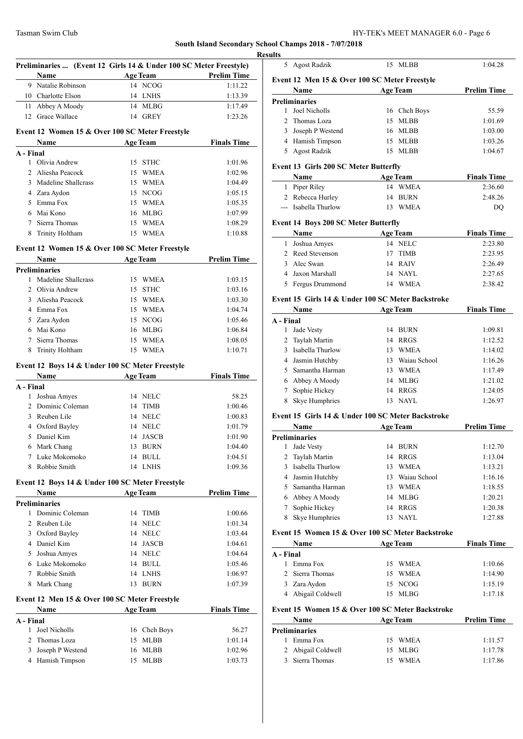# **South Island Secondary School**

|           | Name                                                 | Preliminaries  (Event 12 Girls 14 & Under 100 SC Meter Freestyle) | <b>Prelim Time</b> |
|-----------|------------------------------------------------------|-------------------------------------------------------------------|--------------------|
|           | 9 Natalie Robinson                                   | <b>Example 2018</b> Age Team<br>14 NCOG                           | 1:11.22            |
|           | 10 Charlotte Elson                                   | 14 LNHS                                                           | 1:13.39            |
|           |                                                      |                                                                   |                    |
|           | 11 Abbey A Moody                                     | 14 MLBG                                                           | 1:17.49            |
|           | 12 Grace Wallace                                     | 14 GREY                                                           | 1:23.26            |
|           |                                                      | Event 12 Women 15 & Over 100 SC Meter Freestyle                   |                    |
|           |                                                      | Name Age Team Finals Time                                         |                    |
|           | A - Final                                            |                                                                   |                    |
|           | 1 Olivia Andrew                                      | 15 STHC                                                           | 1:01.96            |
|           | 2 Aliesha Peacock                                    | 15 WMEA                                                           | 1:02.96            |
|           | 3 Madeline Shallcrass                                | 15 WMEA                                                           | 1:04.49            |
|           | 4 Zara Aydon                                         | 15 NCOG                                                           | 1:05.15            |
|           | 5 Emma Fox                                           | 15 WMEA                                                           | 1:05.35            |
|           | 6 Mai Kono                                           | 16 MLBG                                                           | 1:07.99            |
|           | 7 Sierra Thomas                                      | 15 WMEA                                                           | 1:08.29            |
|           | 8 Trinity Holtham                                    | 15 WMEA                                                           | 1:10.88            |
|           |                                                      | Event 12 Women 15 & Over 100 SC Meter Freestyle                   |                    |
|           | Name<br><u> 1990 - Johann John Stein, markin san</u> | Age Team                                                          | <b>Prelim Time</b> |
|           | <b>Preliminaries</b>                                 |                                                                   |                    |
|           | 1 Madeline Shallcrass                                | 15 WMEA                                                           | 1:03.15            |
|           | 2 Olivia Andrew                                      | 15 STHC                                                           | 1:03.16            |
|           | 3 Aliesha Peacock                                    | 15 WMEA                                                           | 1:03.30            |
|           | 4 Emma Fox                                           | 15 WMEA                                                           | 1:04.74            |
|           | 5 Zara Aydon                                         | 15 NCOG                                                           | 1:05.46            |
|           | 6 Mai Kono                                           | 16 MLBG                                                           | 1:06.84            |
|           | 7 Sierra Thomas                                      | 15 WMEA                                                           | 1:08.05            |
|           | 8 Trinity Holtham                                    | 15 WMEA                                                           | 1:10.71            |
|           |                                                      | Event 12 Boys 14 & Under 100 SC Meter Freestyle                   |                    |
|           | Name                                                 | Age Team                                                          | <b>Finals Time</b> |
|           | A - Final                                            | 14 NELC                                                           | 58.25              |
|           | 1 Joshua Amyes                                       |                                                                   |                    |
|           | 2 Dominic Coleman                                    | 14 TIMB                                                           | 1:00.46            |
|           | 3 Reuben Lile                                        | 14 NELC                                                           | 1:00.83            |
|           | 4 Oxford Bayley                                      | 14 NELC                                                           | 1:01.79            |
|           | 5 Daniel Kim                                         | 14 JASCB                                                          | 1:01.90            |
| 6         | Mark Chang                                           | 13 BURN                                                           | 1:04.40            |
| 7         | Luke Mokomoko                                        | 14 BULL                                                           | 1:04.51            |
| 8         | Robbie Smith                                         | 14 LNHS                                                           | 1:09.36            |
|           |                                                      | Event 12 Boys 14 & Under 100 SC Meter Freestyle                   |                    |
|           | Name<br><b>Preliminaries</b>                         | <b>Age Team</b>                                                   | <b>Prelim Time</b> |
| 1         | Dominic Coleman                                      | 14 TIMB                                                           | 1:00.66            |
|           | 2 Reuben Lile                                        | 14 NELC                                                           | 1:01.34            |
|           | 3 Oxford Bayley                                      | 14 NELC                                                           | 1:03.44            |
|           | 4 Daniel Kim                                         | 14 JASCB                                                          | 1:04.61            |
|           |                                                      |                                                                   |                    |
|           | 5 Joshua Amyes                                       | 14 NELC                                                           | 1:04.64            |
|           | 6 Luke Mokomoko                                      | 14 BULL                                                           | 1:05.46            |
|           | 7 Robbie Smith                                       | 14 LNHS                                                           | 1:06.97            |
|           | Mark Chang                                           | 13 BURN                                                           | 1:07.39            |
| 8         |                                                      |                                                                   |                    |
|           | Event 12 Men 15 & Over 100 SC Meter Freestyle        |                                                                   |                    |
|           | Name                                                 | <b>Age Team</b>                                                   | <b>Finals Time</b> |
| A - Final |                                                      |                                                                   |                    |
| 1         | Joel Nicholls                                        | 16 Chch Boys                                                      | 56.27              |
|           | 2 Thomas Loza<br>3 Joseph P Westend                  | 15 MLBB<br>16 MLBB                                                | 1:01.14<br>1:02.96 |

| ults         | 5 Agost Radzik                                           |                 | 15 MLBB            | 1:04.28            |
|--------------|----------------------------------------------------------|-----------------|--------------------|--------------------|
|              | Event 12 Men 15 & Over 100 SC Meter Freestyle            |                 |                    |                    |
|              | Name                                                     |                 | <b>Age Team</b>    | <b>Prelim Time</b> |
|              | <b>Preliminaries</b>                                     |                 |                    |                    |
| $\mathbf{1}$ | Joel Nicholls                                            |                 | 16 Chch Boys       | 55.59              |
|              | 2 Thomas Loza                                            |                 | 15 MLBB            | 1:01.69            |
|              | 3 Joseph P Westend                                       |                 | 16 MLBB            | 1:03.00            |
|              | 4 Hamish Timpson                                         |                 | 15 MLBB            | 1:03.26            |
|              | 5 Agost Radzik                                           |                 | 15 MLBB            | 1:04.67            |
|              | Event 13 Girls 200 SC Meter Butterfly                    |                 |                    |                    |
|              | Name                                                     |                 | Age Team           | <b>Finals Time</b> |
|              | 1 Piper Riley                                            |                 | 14 WMEA            | 2:36.60            |
|              | 2 Rebecca Hurley                                         |                 | 14 BURN            | 2:48.26            |
|              | --- Isabella Thurlow                                     |                 | 13 WMEA            | DQ                 |
|              |                                                          |                 |                    |                    |
|              | Event 14 Boys 200 SC Meter Butterfly                     |                 |                    |                    |
|              | Name                                                     |                 | <b>Age Team</b>    | <b>Finals Time</b> |
|              | 1 Joshua Amyes                                           |                 | 14 NELC            | 2:23.80            |
|              | 2 Reed Stevenson                                         |                 | 17 TIMB            | 2:23.95            |
| 3            | Alec Swan                                                |                 | 14 RAIV            | 2:26.49            |
|              | 4 Jaxon Marshall                                         |                 | 14 NAYL<br>14 WMEA | 2:27.65            |
|              | 5 Fergus Drummond                                        |                 |                    | 2:38.42            |
|              | Event 15 Girls 14 & Under 100 SC Meter Backstroke        |                 |                    |                    |
|              | Name                                                     |                 | <b>Age Team</b>    | <b>Finals Time</b> |
| A - Final    |                                                          |                 |                    |                    |
| 1            | Jade Vesty                                               |                 | 14 BURN            | 1:09.81            |
|              | 2 Taylah Martin                                          |                 | 14 RRGS            | 1:12.52            |
|              | 3 Isabella Thurlow                                       |                 | 13 WMEA            | 1:14.02            |
|              | 4 Jasmin Hutchby                                         |                 | 13 Waiau School    | 1:16.26            |
|              | 5 Samantha Harman                                        |                 | 13 WMEA            | 1:17.49            |
|              | 6 Abbey A Moody                                          |                 | 14 MLBG            | 1:21.02            |
| 7            | Sophie Hickey                                            |                 | 14 RRGS            | 1:24.05            |
| 8            | Skye Humphries                                           |                 | 13 NAYL            | 1:26.97            |
|              | Event 15 Girls 14 & Under 100 SC Meter Backstroke        |                 |                    |                    |
|              | <b>Example 2</b> Age Team<br>Name                        |                 |                    | Prelim Time        |
|              | <b>Preliminaries</b>                                     |                 |                    |                    |
| 1            | Jade Vesty                                               |                 | 14 BURN            | 1:12.70            |
|              | 2 Taylah Martin                                          |                 | 14 RRGS            | 1:13.04            |
|              | 3 Isabella Thurlow                                       |                 | 13 WMEA            | 1:13.21            |
|              | 4 Jasmin Hutchby                                         |                 | 13 Waiau School    | 1:16.16            |
|              | 5 Samantha Harman                                        |                 | 13 WMEA            | 1:18.55            |
|              | 6 Abbey A Moody                                          |                 | 14 MLBG            | 1:20.21            |
|              | 7 Sophie Hickey                                          |                 | 14 RRGS            | 1:20.38            |
|              | Skye Humphries                                           |                 | 13 NAYL            | 1:27.88            |
| 8            |                                                          |                 |                    |                    |
|              |                                                          |                 |                    | <b>Finals Time</b> |
|              | Event 15 Women 15 & Over 100 SC Meter Backstroke<br>Name |                 |                    |                    |
| A - Final    |                                                          | <b>Age Team</b> |                    |                    |
|              | 1 Emma Fox                                               |                 | 15 WMEA            | 1:10.66            |
|              | 2 Sierra Thomas                                          |                 | 15 WMEA            | 1:14.90            |
|              | 3 Zara Aydon                                             |                 | 15 NCOG            | 1:15.19            |

| Name                 | <b>Age Team</b>    | <b>Prelim Time</b> |
|----------------------|--------------------|--------------------|
| <b>Preliminaries</b> |                    |                    |
| Emma Fox             | 15 WMEA            | 1:11.57            |
| 2 Abigail Coldwell   | 15 MLBG            | 1:17.78            |
| 3 Sierra Thomas      | <b>WMEA</b><br>15. | 1:17.86            |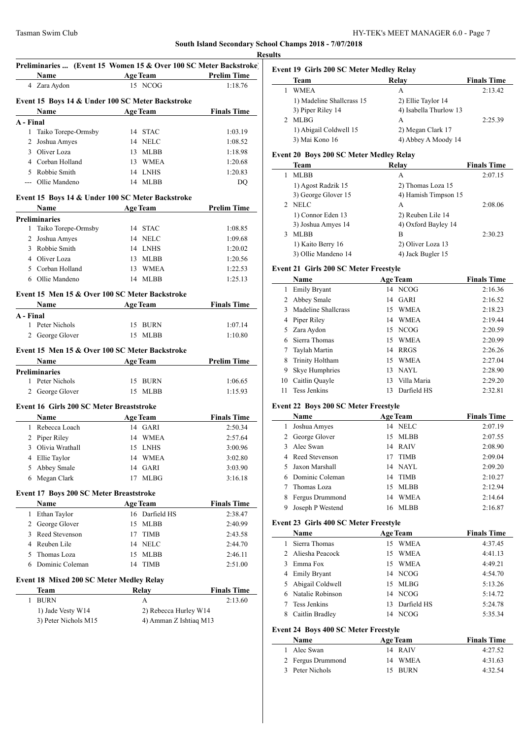|        |                                                 |                                                  | <b>Example 2 Age Team Prelim Time</b> |
|--------|-------------------------------------------------|--------------------------------------------------|---------------------------------------|
|        | 4 Zara Aydon                                    | 15 NCOG                                          | 1:18.76                               |
|        |                                                 | Event 15 Boys 14 & Under 100 SC Meter Backstroke |                                       |
|        |                                                 | <b>Name</b> Age Team Finals Time                 |                                       |
|        | A - Final                                       |                                                  |                                       |
|        | 1 Taiko Torepe-Ormsby                           | 14 STAC                                          | 1:03.19                               |
|        | 2 Joshua Amyes                                  | 14 NELC                                          | 1:08.52                               |
|        | 3 Oliver Loza                                   | 13 MLBB                                          | 1:18.98                               |
|        | 4 Corban Holland                                | 13 WMEA                                          | 1:20.68                               |
|        | 5 Robbie Smith                                  | 14 LNHS                                          | 1:20.83                               |
|        | --- Ollie Mandeno                               | 14 MLBB                                          | DQ                                    |
|        |                                                 | Event 15 Boys 14 & Under 100 SC Meter Backstroke |                                       |
|        |                                                 | Name Age Team Prelim Time                        |                                       |
|        | <b>Preliminaries</b>                            |                                                  |                                       |
|        | 1 Taiko Torepe-Ormsby                           | 14 STAC                                          | 1:08.85                               |
|        | 2 Joshua Amyes                                  | 14 NELC                                          | 1:09.68                               |
|        | 3 Robbie Smith                                  | 14 LNHS                                          | 1:20.02                               |
|        | 4 Oliver Loza                                   | 13 MLBB                                          | 1:20.56                               |
|        | 5 Corban Holland                                | 13 WMEA                                          | 1:22.53                               |
|        | 6 Ollie Mandeno                                 | 14 MLBB                                          | 1:25.13                               |
|        |                                                 | Event 15 Men 15 & Over 100 SC Meter Backstroke   |                                       |
|        |                                                 | Name Age Team Finals Time                        |                                       |
|        | A - Final                                       |                                                  |                                       |
|        | 1 Peter Nichols                                 | 15 BURN                                          | 1:07.14                               |
|        | 2 George Glover 15 MLBB                         |                                                  | 1:10.80                               |
|        |                                                 | Event 15 Men 15 & Over 100 SC Meter Backstroke   |                                       |
|        |                                                 |                                                  |                                       |
|        | <b>Preliminaries</b>                            | <b>Solution Age Team</b> Prelim Time             |                                       |
|        | 1 Peter Nichols                                 | 15 BURN                                          | 1:06.65                               |
|        |                                                 | 15 MLBB                                          | 1:15.93                               |
|        | 2 George Glover                                 |                                                  |                                       |
|        | <b>Event 16 Girls 200 SC Meter Breaststroke</b> |                                                  |                                       |
|        | Name<br>Age Team                                |                                                  |                                       |
|        |                                                 |                                                  | <b>Finals Time</b>                    |
|        | 1 Rebecca Loach                                 | 14 GARI                                          | 2:50.34                               |
|        | 2 Piper Riley                                   | 14 WMEA                                          | 2:57.64                               |
|        | Olivia Wrathall                                 |                                                  |                                       |
| 3<br>4 |                                                 | 15 LNHS                                          | 3:00.96                               |
|        | Ellie Taylor                                    | 14 WMEA                                          | 3:02.80                               |
|        | 5 Abbey Smale                                   | 14 GARI<br><b>MLBG</b><br>17                     | 3:03.90<br>3:16.18                    |
|        | 6 Megan Clark                                   |                                                  |                                       |
|        | <b>Event 17 Boys 200 SC Meter Breaststroke</b>  |                                                  |                                       |
|        | Name                                            | <b>Age Team</b>                                  | <b>Finals Time</b>                    |
|        | 1 Ethan Taylor                                  | 16 Darfield HS                                   | 2:38.47                               |
|        | 2 George Glover                                 | 15 MLBB                                          | 2:40.99                               |
|        | 3 Reed Stevenson                                | 17 TIMB                                          | 2:43.58                               |
|        | 4 Reuben Lile                                   | 14 NELC                                          | 2:44.70                               |
|        | 5 Thomas Loza                                   | 15 MLBB                                          | 2:46.11                               |
|        | 6 Dominic Coleman                               | 14 TIMB                                          | 2:51.00                               |
|        | Event 18 Mixed 200 SC Meter Medley Relay        |                                                  |                                       |
|        | Team                                            | Relay                                            | <b>Finals Time</b>                    |
|        | <b>BURN</b>                                     | A                                                | 2:13.60                               |
| 1      | 1) Jade Vesty W14                               | 2) Rebecca Hurley W14                            |                                       |

## **Event 19 Girls 200 SC Meter Medley Relay**

| <b>Team</b>               | Relay                  | <b>Finals Time</b> |
|---------------------------|------------------------|--------------------|
| <b>WMEA</b>               | A                      | 2:13.42            |
| 1) Madeline Shallcrass 15 | 2) Ellie Taylor 14     |                    |
| 3) Piper Riley 14         | 4) Isabella Thurlow 13 |                    |
| <b>MLBG</b>               | А                      | 2:25.39            |
| 1) Abigail Coldwell 15    | 2) Megan Clark 17      |                    |
| 3) Mai Kono 16            | 4) Abbey A Moody 14    |                    |
|                           |                        |                    |

#### **Event 20 Boys 200 SC Meter Medley Relay**

|               | Team                | Relay                | <b>Finals Time</b> |
|---------------|---------------------|----------------------|--------------------|
|               | <b>MLBB</b>         | A                    | 2:07.15            |
|               | 1) Agost Radzik 15  | 2) Thomas Loza 15    |                    |
|               | 3) George Glover 15 | 4) Hamish Timpson 15 |                    |
| $\mathcal{D}$ | <b>NELC</b>         | A                    | 2:08.06            |
|               | 1) Connor Eden 13   | 2) Reuben Lile 14    |                    |
|               | 3) Joshua Amyes 14  | 4) Oxford Bayley 14  |                    |
|               | <b>MLBB</b>         | B                    | 2:30.23            |
|               | 1) Kaito Berry 16   | 2) Oliver Loza 13    |                    |
|               | 3) Ollie Mandeno 14 | 4) Jack Bugler 15    |                    |

#### **Event 21 Girls 200 SC Meter Freestyle**

|               | Name                |    | <b>Age Team</b> | <b>Finals Time</b> |
|---------------|---------------------|----|-----------------|--------------------|
| 1             | <b>Emily Bryant</b> |    | 14 NCOG         | 2:16.36            |
|               | 2 Abbey Smale       |    | 14 GARI         | 2:16.52            |
| $\mathcal{F}$ | Madeline Shallcrass | 15 | <b>WMEA</b>     | 2:18.23            |
|               | 4 Piper Riley       |    | 14 WMEA         | 2:19.44            |
|               | 5 Zara Aydon        |    | 15 NCOG         | 2:20.59            |
|               | Sierra Thomas       | 15 | <b>WMEA</b>     | 2:20.99            |
|               | Taylah Martin       | 14 | <b>RRGS</b>     | 2:26.26            |
| 8             | Trinity Holtham     | 15 | <b>WMEA</b>     | 2:27.04            |
| 9             | Skye Humphries      | 13 | NAYL            | 2:28.90            |
| 10            | Caitlin Quayle      | 13 | Villa Maria     | 2:29.20            |
| 11.           | <b>Tess Jenkins</b> | 13 | Darfield HS     | 2:32.81            |

# **Event 22 Boys 200 SC Meter Freestyle**

| Name             |                                                                                                  | <b>Finals Time</b>                                                                                                 |
|------------------|--------------------------------------------------------------------------------------------------|--------------------------------------------------------------------------------------------------------------------|
| Joshua Amyes     |                                                                                                  | 2:07.19                                                                                                            |
|                  |                                                                                                  | 2:07.55                                                                                                            |
|                  |                                                                                                  | 2:08.90                                                                                                            |
|                  |                                                                                                  | 2:09.04                                                                                                            |
|                  |                                                                                                  | 2:09.20                                                                                                            |
|                  |                                                                                                  | 2:10.27                                                                                                            |
| Thomas Loza      |                                                                                                  | 2:12.94                                                                                                            |
| Fergus Drummond  |                                                                                                  | 2:14.64                                                                                                            |
| Joseph P Westend |                                                                                                  | 2:16.87                                                                                                            |
|                  | 1<br>2 George Glover<br>3 Alec Swan<br>4 Reed Stevenson<br>5 Jaxon Marshall<br>6 Dominic Coleman | <b>Age Team</b><br>14 NELC<br>15 MLBB<br>14 RAIV<br>17 TIMB<br>14 NAYL<br>14 TIMB<br>15 MLBB<br>14 WMEA<br>16 MLBB |

### **Event 23 Girls 400 SC Meter Freestyle**

|    | <b>Name</b>        |    | <b>Age Team</b> | <b>Finals Time</b> |
|----|--------------------|----|-----------------|--------------------|
| 1. | Sierra Thomas      | 15 | <b>WMEA</b>     | 4:37.45            |
|    | 2 Aliesha Peacock  | 15 | <b>WMEA</b>     | 4:41.13            |
|    | 3 Emma Fox         |    | 15 WMEA         | 4:49.21            |
|    | 4 Emily Bryant     |    | 14 NCOG         | 4:54.70            |
|    | 5 Abigail Coldwell |    | 15 MLBG         | 5:13.26            |
|    | 6 Natalie Robinson |    | 14 NCOG         | 5:14.72            |
|    | Tess Jenkins       |    | 13 Darfield HS  | 5:24.78            |
| 8  | Caitlin Bradley    |    | 14 NCOG         | 5:35.34            |

# **Event 24 Boys 400 SC Meter Freestyle**

| <b>Name</b>       | <b>Age Team</b> | <b>Finals Time</b> |
|-------------------|-----------------|--------------------|
| 1 Alec Swan       | 14 RAIV         | 4:27.52            |
| 2 Fergus Drummond | 14 WMEA         | 4:31.63            |
| 3 Peter Nichols   | 15 BURN         | 4:32.54            |